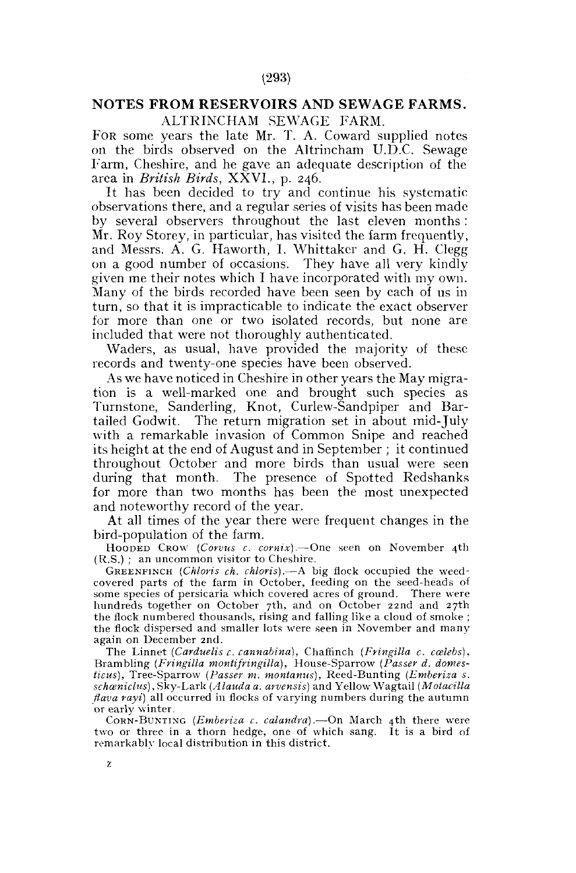# **NOTES FROM RESERVOIRS AND SEWAGE FARMS.**  ALTRINCHAM SEWAGE FARM.

FOR some years the late Mr. T. A. Coward supplied notes on the birds observed on the Altrincham U.D.C. Sewage Farm, Cheshire, and he gave an adequate description of the area in *British Birds,* XXVI., p. 246.

It has been decided to try and continue his systematic observations there, and a regular series of visits has been made by several observers throughout the last eleven months : Mr. Roy Storey, in particular, has visited the farm frequently, and Messrs. A. G. Haworth, I. Whittaker and G. H. Clegg on a good number of occasions. They have all very kindly given me their notes which I have incorporated with my own. Many of the birds recorded have been seen by each of us in turn, so that it is impracticable to indicate the exact observer for more than one or two isolated records, but none are included that were not thoroughly authenticated.

Waders, as usual, have provided the majority of these records and twenty-one species have been observed.

As we have noticed in Cheshire in other years the May migration is a well-marked one and brought such species as Turnstone, Sanderling, Knot, Curlew-Sandpiper and Bartailed Godwit. The return migration set in about mid-July with a remarkable invasion of Common Snipe and reached its height at the end of August and in September ; it continued throughout October and more birds than usual were seen during that month. The presence of Spotted Redshanks for more than two months has been the most unexpected and noteworthy record of the year.

At all times of the year there were frequent changes in the bird-population of the farm.

HOODED CROW *(Corvus c. comix).*—One seen on November 4th (R.S.) ; an uncommon visitor to Cheshire.

GREENFINCH *(Chloris ch. chloris).*—A big flock occupied the weed-covered parts of the farm in October, feeding on the seed-heads of some species of persicaria which covered acres of ground. There were hundreds together on October 7th, and on October 22nd and 27th the flock numbered thousands, rising and falling like a cloud of smoke ; the flock dispersed and smaller lots were seen in November and many again on December 2nd.

The Linnet (Carduelis c. cannabina), Chaffinch (Fringilla c. cœlebs), Brambling *(Fringilla montifringilla),* House-Sparrow *(Passer d. domesticus),* Tree-Sparrow *(Passer m. montanus),* Reed-Bunting *(Emberiza s. schceniclus),* Sky-Lark *(Alaudaa. arvensis)* and Yellow Wagtail *(Motacilla flava rayi)* all occurred in flocks of varying numbers during the autumn or early winter.

CORN-BUNTING *(Emberiza c. calandra).*—On March 4th there were two or three in a thorn hedge, one of which sang. It is a bird of remarkably local distribution in this district.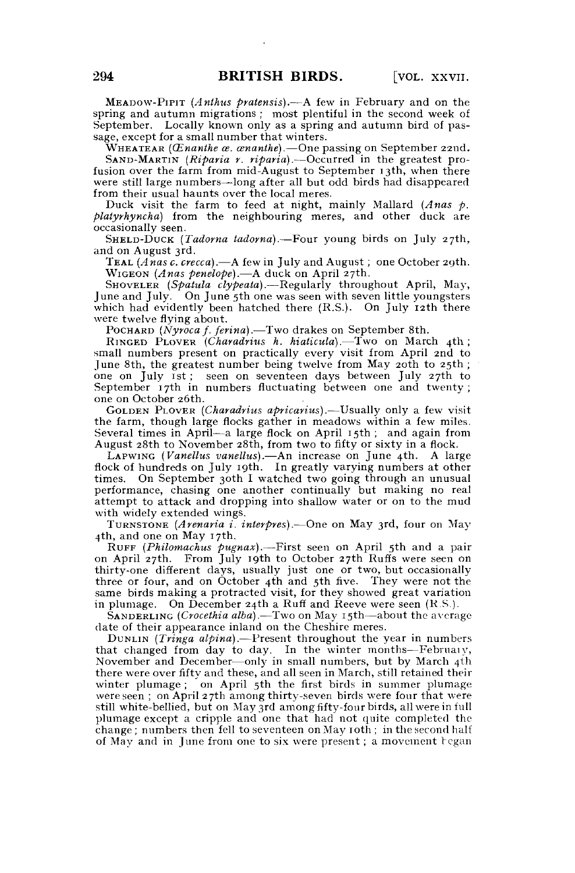MEADOW-PIPIT *(Anthus pratensis).*—A few in February and on the spring and autumn migrations ; most plentiful in the second week of September. Locally known only as a spring and autumn bird of passage, except for a small number that winters.

WHEATEAR *(CEnanihe as. cenanthe).*—One passing on September 22nd.

SAND-MARTIN *(Riparia r. riparia).*—Occurred in the greatest profusion over the farm from mid-August to September 13th, when there were still large numbers—long after all but odd birds had disappeared from their usual haunts over the local meres.

Duck visit the farm to feed at night, mainly Mallard *(Anas p. platyrhyncha)* from the neighbouring meres, and other duck are occasionally seen.

SHELD-DUCK *(Tadorna tadorna).*—Four young birds on July 27th, and on August 3rd.

TEAL *(Anas c. crecca).*—A few in July and August; one October 29th. WIGEON *(Anas penelope).*—A duck on April 27th.

SHOVELER (Spatula clypeata). - Regularly throughout April, May, June and July. On June 5th one was seen with seven little youngsters which had evidently been hatched there (R.S.). On July 12th there were twelve flying about.

POCHARD *(Nyroca f. ferina).*—Two drakes on September 8th. RINGED PLOVER *(Charadrius h. hiaticula).*—Two on March 4th ; small numbers present on practically every visit from April 2nd to June 8th, the greatest number being twelve from May 20th to 25th; one on July 1st ; seen on seventeen days between July 27th to September 17th in numbers fluctuating between one and twenty ; one on October 26th.

GOLDEN PLOVER *(Charadrius apricarius).*—Usually only a few visit the farm, though large flocks gather in meadows within a few miles. Several times in April—a large flock on April 15th ; and again from August 28th to November 28th, from two to fifty or sixty in a flock.

LAPWING *(Vanellus vanellus).*—An increase on June 4th. A large flock of hundreds on July 19th. In greatly varying numbers at other times. On September 30th I watched two going through an unusual performance, chasing one another continually but making no real attempt to attack and dropping into shallow water or on to the mud with widely extended wings.

TURNSTONE *(Arenaria i. interpres).*—One on May 3rd, four on May 4th, and one on May 17th.

RUFF (*Philomachus pugnax*).—First seen on April 5th and a pair on April 27th. From July 19th to October 27th Ruffs were seen on thirty-one different days, usually just one or two, but occasionally three or four, and on October 4th and 5th five. They were not the same birds making a protracted visit, for they showed great variation in plumage. On December 24th a Ruff and Reeve were seen (R.S.).

SANDERLING *(Crocethia alba).*—Two on May 15th—about the average date of their appearance inland on the Cheshire meres.

DUNLIN *(Tringa alpina).*—Present throughout the year in numbers that changed from day to day. In the winter months—February, November and December—only in small numbers, but by March 4th there were over fifty and these, and all seen in March, still retained their winter plumage ; on April 5th the first birds in summer plumage were seen ; on April 27th among thirty-seven birds were four that were still white-bellied, but on May 3rd among fifty-four birds, all were in full plumage except a cripple and one that had not quite completed the change; numbers then fell to seventeen on May 10th; in the second half of May and in June from one to six were present; a movement regan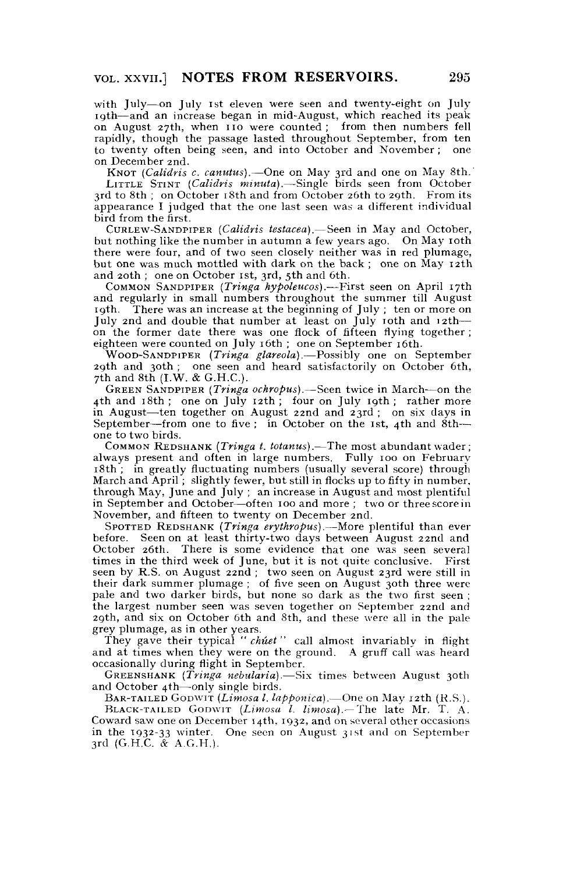with July—on July ist eleven were seen and twenty-eight on July 19th—and an increase began in mid-August, which reached its peak on August 27th, when 110 were counted; from then numbers fell rapidly, though the passage lasted throughout September, from ten to twenty often being seen, and into October and November ; one on December 2nd.

KNOT *(Calidris c. canutus).*—One on May 3rd and one on May 8th. LITTLE STINT *(Calidris minuta).*—Single birds seen from October 3rd to 8th ; on October 18th and from October 26th to 29th. From its appearance I judged that the one last seen was a different individual bird from the first.

CURLEW-SANDPIPER *(Calidris testacea).*— Seen in May and October, but nothing like the number in autumn a few years ago. On May 10th there were four, and of two seen closely neither was in red plumage, but one was much mottled with dark on the back ; one on May 12th and 20th ; one on October ist, 3rd, 5th and 6th.

COMMON SANDPIPER *(Tringa hypoleucos).*—First seen on April 17th and regularly in small numbers throughout the summer till August 19th. There was an increase at the beginning of July ; ten or more on July 2nd and double that number at least on July 10th and 12thon the former date there was one flock of fifteen flying together ; eighteen were counted on July 16th ; one on September 16th.

WOOD-SANDPIPER *(Tringa glareola).*—Possibly one on September 29th and 30th ; one seen and heard satisfactorily on October 6th, 7th and 8th (I.W. & G.H.C.).

GREEN SANDPIPER *(Tringa ochropus).*—Seen twice in March—on the 4th and 18th ; one on July 12th ; four on July 19th ; rather more in August—ten together on August 22nd and 23rd ; on six days in September—from one to five ; in October on the ist, 4th and  $8th$  one to two birds.

COMMON REDSHANK *(Tringa t. totanus).*—The most abundant wader ; always present and often in large numbers. Fully 100 on February 18th ; in greatly fluctuating numbers (usually several score) through March and April ; slightly fewer, but still in flocks up to fifty in number, through May, June and July ; an increase in August and most plentiful in September and October—often 100 and more ; two or three score in November, and fifteen to twenty on December 2nd.

SPOTTED REDSHANK *(Tringa erythropus).*—More plentiful than ever before. Seen on at least thirty-two days between August 22nd and October 26th. There is some evidence that one was seen several times in the third week of June, but it is not quite conclusive. First seen by R.S. on August 22nd ; two seen on August 23rd were still in their dark summer plumage ; of five seen on August 30th three were pale and two darker birds, but none so dark as the two first seen ; the largest number seen was seven together on September 22nd and 29th, and six on October 6th and 8th, and these were all in the pale grey plumage, as in other years.

They gave their typical " *chuet "* call almost invariably in flight and at times when they were on the ground. A gruff call was heard occasionally during flight in September.

GREENSHANK *(Tringa nebularia).*—Six times between August 30th and October 4th—only single birds.

BAR-TAILED GODWTT *(Limosa I. lapponica).*—One on May 12th (R.S.).

BLACK-TAILED GODWIT *(Limosa I. limosa).*— The late Mr. T. A. Coward saw one on December 14th, 1932, and on several other occasions in the 1932-33 winter. One seen on August 31st and on September 3rd (G.H.C. *&* A.G.H.).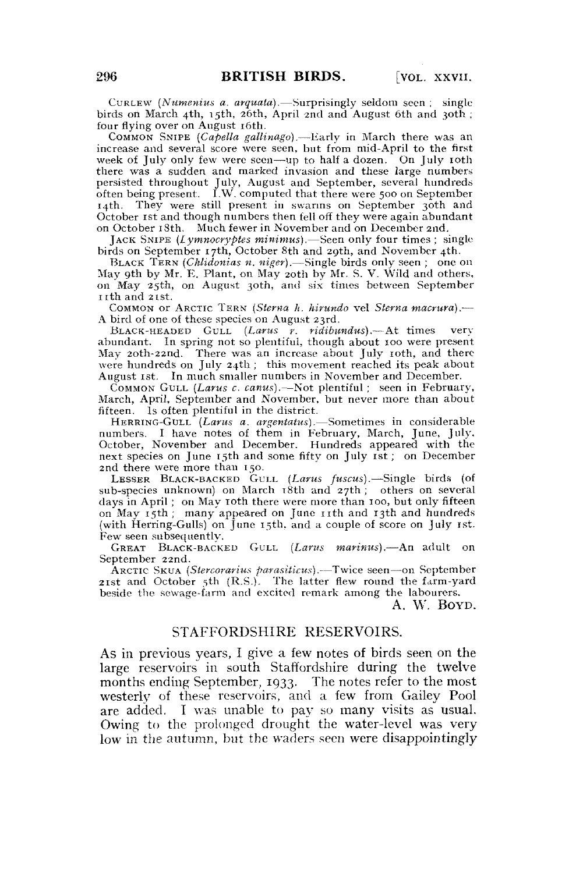CURLEW *(Numenius a. arquata).*—Surprisingly seldom seen ; single birds on March 4th, 15th, 26th, April 2nd and August 6th and 30th ; four flying over on August 16th.

COMMON SNIPE *(Capella gallinago).*—Early in March there was an increase and several score were seen, but from mid-April to the first week of July only few were seen—up to half a dozen. On July 10th there was a sudden and marked invasion and these large numbers persisted throughout July, August and September, several hundreds often being present. I.W. computed that there were 500 on September 14th. They were still present in swarms on September 30th and October 1st and though numbers then fell off they were again abundant on October 18th. Much fewer in November and on December 2nd.

JACK SNIPE *(Iymnocryptes minimus).*—Seen only four times ; single birds on September 17th, October 8th and 29th, and November 4th.

BLACK TERN *(Chlidonias n. niger).*—Single birds only seen ; one on May 9th by Mr. E. Plant, on May 20th by Mr. S. V. Wild and others, on May 25th, on August 30th, ami six times between September IIth and 21st.

COMMON or ARCTIC TERN *(Sterna h. hirundo* vel *Sterna macrura)*.— A bird of one of these species on August 23rd.

BLACK-HEADED GULL (Larus r. ridibundus).—At times very abundant. In spring not so plentiful, though about 100 were present May 20th-22nd. There was an increase about July 10th, and there were hundreds on July 24th ; this movement reached its peak about August 1st. In much smaller numbers in November and December.

COMMON GULL *(Larus c. canus).*—Not plentiful ; seen in February, March, April, September and November, but never more than about fifteen. Is often plentiful in the district.

HERRING-GULL *(Larus a. argentatus).*—Sometimes in considerable numbers. I have notes of them in February, March, June, July, October, November and December. Hundreds appeared with the next species on June 15th and some fifty on July 1st; on December 2nd there were more than 150.

LESSER BLACK-BACKED GULL *(Larus fuscus).*—Single birds (of sub-species unknown) on March r8th and 27th; others on several days in April; on May 10th there were more than 100, but only fifteen on May 15th; many appeared on June 11th and 13th and hundreds (with Herring-Gulls) on June 15th, and a couple of score on July 1st. Few seen subsequently.

GREAT BLACK-BACKED GULL *{Larus marinus).*—An adult on September 22nd.

ARCTIC SKUA *(Stercorarius parasiticus).*—Twice seen—on September 21st and October 5th (R.S.). The latter flew round the farm-yard beside the sewage-farm and excited remark among the labourers.

A. W. BOYD.

#### STAFFORDSHIRE RESERVOIRS.

As in previous years, I give a few notes of birds seen on the large reservoirs in south Staffordshire during the twelve months ending September, 1933. The notes refer to the most westerly of these reservoirs, and a few from Gailey Pool are added. I was unable to pay so many visits as usual. Owing to the prolonged drought the water-level was very low in the autumn, but the waders seen were disappointingly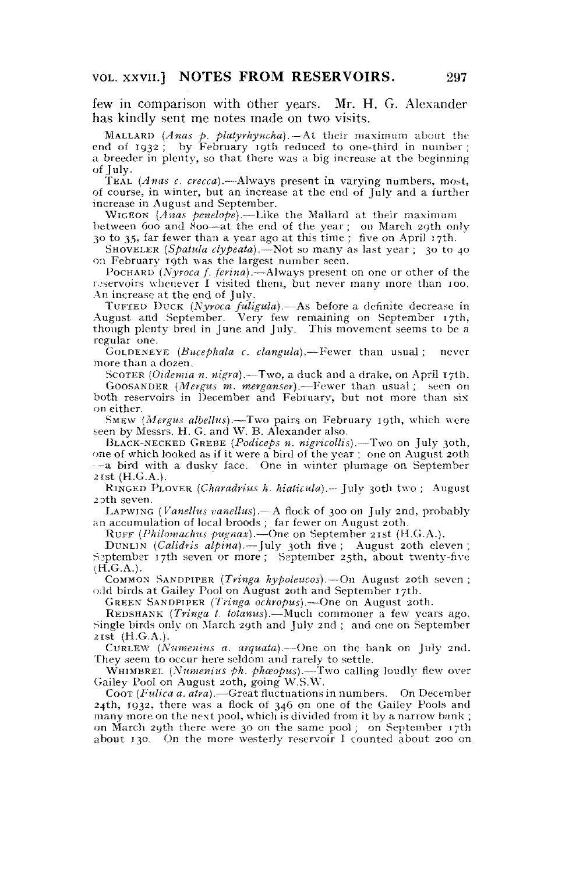few in comparison with other years. Mr. H. G. Alexander has kindly sent me notes made on two visits.

MALLARD *(Anas p. plalyrhyncha).*—At their maximum about the end of 1932; by February 19th reduced to one-third in number; a breeder in plenty, so that there was a big increase at the beginning of July.

TEAL *(Anas c. crecca).*—Always present in varying numbers, most, of course, in winter, but an increase at the end of July and a further increase in August and September.

WIGEON *(Anas penelope),*—Like the Mallard at their maximum between 600 and 800—at the end of the year ; on March 29th only 30 to 35, far fewer than a year ago at this time ; five on April 17th.

SHOVELER (Spatula clypeata) -Not so many as last year; 30 to 40 on February 19th was the largest number seen.

POCHARD *(Nyroca* /. *ferina).*—Always present on one or other of the reservoirs whenever I visited them, but never many more than 100. An increase at the end of July.

TUFTED DUCK *(Nyroca fuligula).*—As before a definite decrease in August and September. Very few remaining on September 17th, though plenty bred in June and July. This movement seems to be a regular one.

GOLDENEYE *(Bucephala c. clangula).*—Fewer than usual ; never more than a dozen.

SCOTER *(Oidemia n. nigra).*—Two, a duck and a drake, on April 17th. GOOSANDER *(Mergus m. merganser).*—Fewer than usual ; seen on both reservoirs in December and February, but not more than six on either.

SMEW *(Mergus albellus),*—Two pairs on February 19th, which were seen by Messrs. H. G. and W. B. Alexander also.

BLACK-NECKED GREBE *(Podiceps n. nigricollis).*—Two on July 30th, one of which looked as if it were a bird of the year ; one on August 20th - a bird with a duskv face. One in winter plumage on September 21 st (H.G.A.).

RINGED PLOVER *(Charadrius h. hiaticula).—* July 30th two ; August 2oth seven.

LAPWING *(Vanellus vanellus).*—A flock of 300 on July 2nd, probably an accumulation of local broods; far fewer on August 20th.

RUFF (Philomachus pugnax).—One on September 21st (H.G.A.).

DUNLIN *(Calidris alpina).*—July 30th five ; August 20th eleven ; Saptember 17th seven or more; September 25th, about twenty-five  $(H.G.A.).$ 

COMMON SANDPIPER *(Tringa hypoleucos).*—On August 20th seven ; odd birds at Gailey Pool on August 20th and September 17th.

GREEN SANDPIPER *(Tringa ochropus).*—One on August 20th.

REDSHANK *(Tringa t. totanus).*—Much commoner a few years ago. Single birds onlv on March 29th and July 2nd ; and one on September 21st  $(H.G.A.).$ 

CURLEW *(Nmnenius a. arquata).*—One on the bank on July 2nd. They seem to occur here seldom and rarely to settle.

WHIMBREL *(Numenius ph. phosopus)*.— Two calling loudly flew over Gailey Pool on August 20th, going W.S.W.

Coor (Fulica a. atra). - Great fluctuations in numbers. On December 24th, 1932, there was a flock of 346 on one of the Gailey Pools and many more on the next pool, which is divided from it by a narrow bank ; on March 29th there were 30 on the same pool ; on September 17th about 130. On the more westerly reservoir I counted about 200 on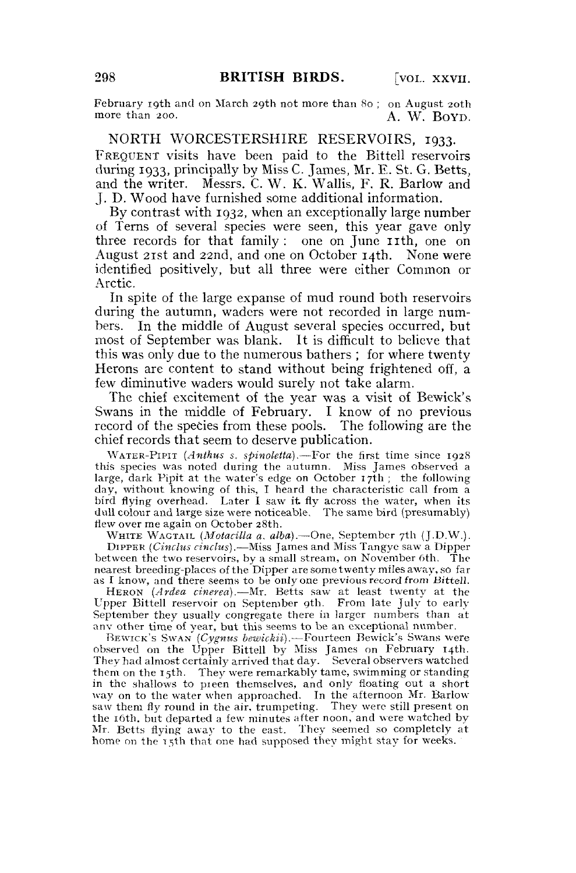February 19th and on March 29th not more than 80; on August 20th more than 200. A, W. BOYD.

NORTH WORCESTERSHIRE RESERVOIRS, 1933. FREQUENT visits have been paid to the Bittell reservoirs during 1933, principally by Miss C. James, Mr. E. St. G. Betts, and the writer. Messrs. C. W. K. Wallis, F. R. Barlow and J. D. Wood have furnished some additional information.

By contrast with 1932, when an exceptionally large number of Terns of several species were seen, this year gave only three records for that family : one on June 11th, one on August 21st and 22nd, and one on October 14th. None were identified positively, but all three were either Common or Arctic.

In spite of the large expanse of mud round both reservoirs during the autumn, waders were not recorded in large numbers. In the middle of August several species occurred, but most of September was blank. It is difficult to believe that this was only due to the numerous bathers ; for where twenty Herons are content to stand without being frightened off, a few diminutive waders would surely not take alarm.

The chief excitement of the year was a visit of Bewick's Swans in the middle of February. I know of no previous record of the species from these pools. The following are the chief records that seem to deserve publication.

WATER-PIPIT *(Anthus s. spinoletta).*—For the first time since 1928 this species was noted during the autumn. Miss James observed a large, dark Pipit at the water's edge on October 17th ; the following day, without knowing of this, I heard the characteristic call from a bird flying overhead. Later I saw it fly across the water, when its dull colour and large size were noticeable. The same bird (presumably) flew over me again on October 28th.

WHITE WAGTAIL *(Motacilla a. alba).*—One, September 7th (J.D.W.). DIPPER *(Cinclus cinclus),*—Miss James and Miss Tangye saw a Dipper between the two reservoirs, by a small stream, on November 6th. The nearest breeding-places of the Dipper are some twenty miles away, so far as I know, and there seems to be only one previous record from Bittell.

HERON *(Ardea cinerea).*—Mr. Betts saw at least twenty at the Upper Bittell reservoir on September gth. From late July to early September they usually congregate there in larger numbers than at anv other time of year, but this seems to be an exceptional number.

BEWICK'S SWAN *(Cygnus bewickii).*—Fourteen Bewick's Swans were observed on the Upper Bittell by Miss James on February 14th. They had almost certainly arrived that day. Several observers watched them on the 15th. They were remarkably tame, swimming or standing in the shallows to pieen themselves, and only floating out a short way on to the water when approached. In the afternoon Mr. Barlow saw them fly round in the air, trumpeting. They were still present on the 16th, but departed a few minutes after noon, and were watched by Mr. Betts flying away to the east. They seemed so completely at home on the 15th that one had supposed they might stay for weeks.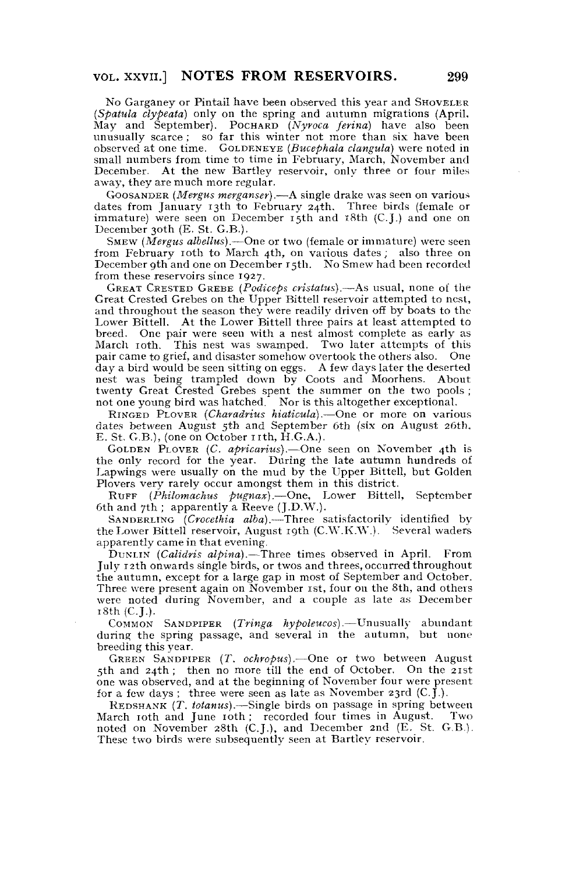No Garganey or Pintail have been observed this year and SHOVELER *(Spatula clypeata)* only on the spring and autumn migrations (April. May and September). POCHARD *(Nyroca ferina)* have also been unusually scarce; so far this winter not more than six have been observed at one time. GOLDENEYE *(Bucephala clangula)* were noted in small numbers from time to time in February, March, November and December. At the new Bartley reservoir, only three or four miles away, they are much more regular.

GOOSANDER *(Mergus merganser).*—A single drake was seen on various dates from January 13th to February 24th. Three birds (female or immature) were seen on December 15th and 18th (C.J.) and one on December 30th (E. St. G.B.).

SMEW *(Mergus albellus).*—One or two (female or immature) were seen from February 10th to March 4th, on various dates; also three on December 9th and one on December 15th. No Smew had been recorded from these reservoirs since 1927.

GREAT CRESTED GREBE *(Podiceps crislatus).*—As usual, none of the Great Crested Grebes on the Upper Bittell reservoir attempted to nest, and throughout the season they were readily driven off by boats to the Lower Bittell. At the Lower Bittell three pairs at least attempted to breed. One pair were seen with a nest almost complete as early as March 10th. This nest was swamped. Two later attempts of this pair came to grief, and disaster somehow overtook the others also. One day a bird would be seen sitting on eggs. A few days later the deserted nest was being trampled down by Coots and Moorhens. About twenty Great Crested Grebes spent the summer on the two pools ; not one young bird was hatched. Nor is this altogether exceptional.

RINGED PLOVER *(Charadrius hiaticula),*—One or more on various dates between August 5th and September 6th (six on August 26th, E. St. G.B.), (one on October 11th,  $\hat{H}.G.A.$ ).

GOLDEN PLOVER *(C. apricarius).*—One seen on November 4th is the only record for the year. During the late autumn hundreds of Lapwings were usually on the mud by the Upper Bittell, but Golden Plovers very rarely occur amongst them in this district.

RUFF (*Philomachus pugnax*).—One, Lower Bittell, September 6th and 7th; apparently a Reeve (J.D.W.).

SANDERLING *(Crocethia alba).*—Three satisfactorily identified by the Lower Bittell reservoir, August 19th (C.W.K.W.). Several waders apparently came in that evening.

DUNLIN *(Calidris alpina).*—Three times observed in April. From July 12th onwards single birds, or twos and threes, occurred throughout the autumn, except for a large gap in most of September and October. Three were present again on November 1st, four on the 8th, and others were noted during November, and a couple as late as December  $18th$  (C.J.).

COMMON SANDPIPER *(Tringa hypoleucos).*—Unusually abundant during the spring passage, and several in the autumn, but none breeding this year.

GREEN SANDPIPER *(T. ochropus).*—One or two between August 5th and 24th ; then no more till the end of October. On the 21st one was observed, and at the beginning of November four were present for a few days; three were seen as late as November 23rd  $(C, \tilde{J})$ .

REDSHANK *(T. totanus).*—Single birds on passage in spring between March 10th and June 10th ; recorded four times in August. Two noted on November 28th (C.J.), and December 2nd (E. St. G.B.). These two birds were subsequently seen at Bartley reservoir.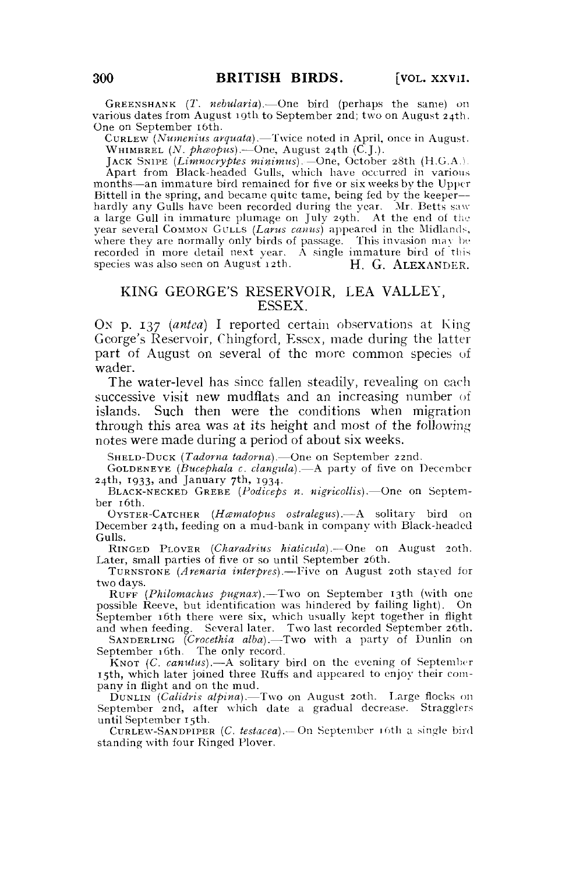GREENSHANK (X. *nebularia).*—One bird (perhaps the same) on various dates from August 19th to September 2nd; two on August 24th. One on September 16th.

CURLEW *(Numenius arquata).*—Twice noted in April, once in August. WHIMBREL  $(N.$  phaopus).—One, August 24th  $(\mathcal{C}, \mathcal{L})$ .

JACK SNIPE *(Limnocryptes minimus).*—One, October 28th {H.G.A.b Apart from Black-headed Gulls, which have occurred in various months—an immature bird remained for five or six weeks by the Upper Bittell in the spring, and became quite tame, being fed by the keeper hardly any Gulls have been recorded during the year. Mr. Betts saw a large Gull in immature plumage on July 29th. At the end of the year several COMMON GULLS *(Larus canus)* appeared in the Midlands, where they are normally only birds of passage. This invasion may be recorded in more detail next year. A single immature bird of this species was also seen on August 12th. H. G. ALEXANDER. species was also seen on August  $12$ th.

## KING GEORGE'S RESERVOIR, LEA VALLEY, ESSEX.

ON p. 137 *(antea)* I reported certain observations at King George's Reservoir, Chingford, Essex, made during the latter part of August on several of the more common species of wader.

The water-level has since fallen steadily, revealing on each successive visit new mudflats and an increasing number of islands. Such then were the conditions when migration through this area was at its height and most of the following notes were made during a period of about six weeks.

SHELD-DUCK *(Tadorna tadornd).*—One on September 22nd.

GOLDENEYE *(Bucephala c. clangula).*—A party of five on December 24th, 1933, and January 7th, 1934.

BLACK-NECKED GREBE *(Podiceps n. nigricollis).*—One on September 16th.

OYSTER-CATCHER *(Hcematopus ostralegus).*—A solitary bird on December 24th, feeding on a mud-bank in company with Black-headed Gulls.

RINGED PLOVER *(Charadrius hiaticula).*—One on August 20th. Later, small parties of five or so until September 26th.

TURNSTONE *(Arenaria interpres).*—Five on August 20th stayed for two days.

RUFF (Philomachus pugnax).—Two on September 13th (with one possible Reeve, but identification was hindered by failing light). On September 16th there were six, which usually kept together in flight and when feeding. Several later. Two last recorded September 26th.

SANDERLING *(Crocethia alba).*—Two with a party of Dunlin on September 16th. The only record.

KNOT (C. *canutus).*—A solitary bird on the evening of September 15th, which later joined three Ruffs and appeared to enjoy their company in flight and on the mud.

DUNLIN *(Calidris alpina).*—Two on August 20th. Large flocks on September 2nd, after which date a gradual decrease. Stragglers until September 15th.

CURLEW-SANDPIPER *(C. testacea).—* On September 16th a single bird standing with four Ringed Plover.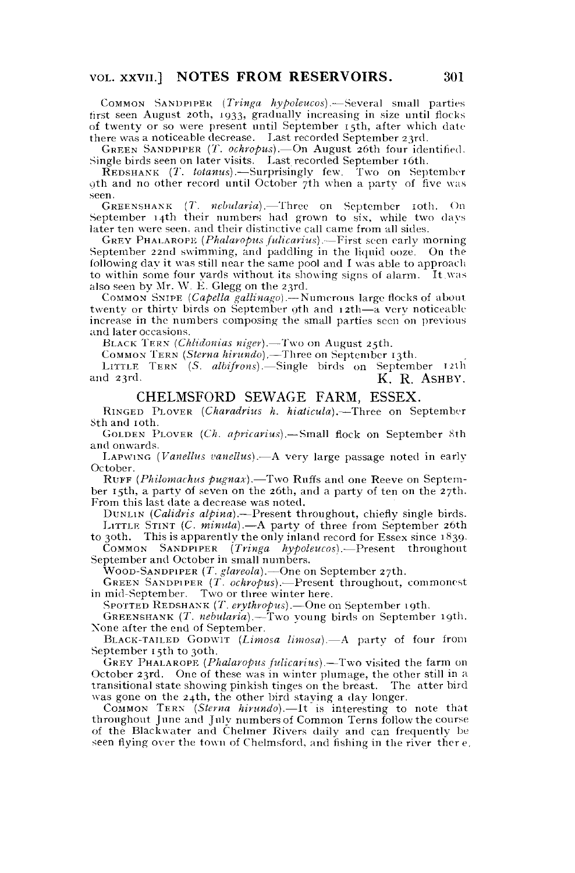COMMON SANDPIPER *(Tringa hypoleucos).*—Several small parties first seen August 20th, 1933, gradually increasing in size until flocks of twenty or so were present until September 15th, after which date there was a noticeable decrease. Last recorded September 23rd.

GREEN SANDPIPER (X. *ochropus).*—On August 26th four identified. Single birds seen on later visits. Last recorded September 16th.

REDSHANK *(T. totanus).*—Surprisingly few. Two on September 9th and no other record until October 7th when a party of five was seen.

GREENSHANK (T. *nebularia*). Three on September 10th. On September 14th their numbers had grown to six, while two days later ten were seen, and their distinctive call came from all sides.

GREY PHALAROPE *(Phalaropus fulicarius).*—First seen early morning September 22nd swimming, and paddling in the liquid ooze. On the following day it was still near the same pool and I was able to approach to within some four yards without its showing signs of alarm. It was also seen by Mr. W. E. Glegg on the 23rd.

COMMON SNIPE *(Capella gallinago).*— Numerous large flocks of about twenty or thirty birds on September 9th and 12th-a very noticeable increase in the numbers composing the small parties seen on previous and later occasions.

BLACK TERN *(Chlidonias niger).*—Two on August 25th.

COMMON TERN *(Sterna hirundo).*—Three on September 13th.

LITTLE TERN<sup>o</sup> (S. albifrons).—Single birds on September 12th and 23rd. K. R. ASHBY. K. R. ASHBY.

#### CHELMSFORD SEWAGE FARM, ESSEX.

RINGED PLOVER *(Charadrius h. hiaticula).*—Three on September Sth and 10th.

GOLDEN PLOVER *(Ch. apricarius).*—Small flock on September 8th and onwards.

LAPWING *(Vanellus vanellus).*—A very large passage noted in early October.

RUFF (*Philomachus pugnax*).—Two Ruffs and one Reeve on September 15th, a party of seven on the 26th, and a party of ten on the 27th. From this last date a decrease was noted.

DUNLIN *(Calidris alpina).*—Present throughout, chiefly single birds. LITTLE STINT *(C. minuta).*—A party of three from September 26th

to 30th. This is apparently the only inland record for Essex since 1839.<br>COMMON SANDPIPER (*Tringa hypoleucos*).—Present throughout COMMON SANDPIPER *(Tringa hypoleucos).*—Present throughout September and October in small numbers.

WOOD-SANDPIPER *(T. glareola).*—One on September 27th.

GREEN SANDPIPER *(T. ochropus).*—Present throughout, commonest in mid-September. Two or three winter here.

SPOTTED REDSHANK (7'. *erythropus).*—One on September 19th.

GREENSHANK *(T. nebularia).*—Two young birds on September 19th. None after the end of September.

BLACK-TAILED GODWIT *(Limosa limosa).*—A party of four from September 15th to 30th.

GREY PHALAROPE *(Phalaropus fulicarius).*—Two visited the farm on October 23rd. One of these was in winter plumage, the other still in a transitional state showing pinkish tinges on the breast. The atter bird was gone on the 24th, the other bird staying a day longer.

COMMON TERN *(Sterna hirundo).*—It is interesting to note that throughout June and July numbersof Common Terns follow the course of the Blackwater and Chelmer Rivers daily and can frequently be seen flying over the town of Chelmsford, and fishing in the river ther e.